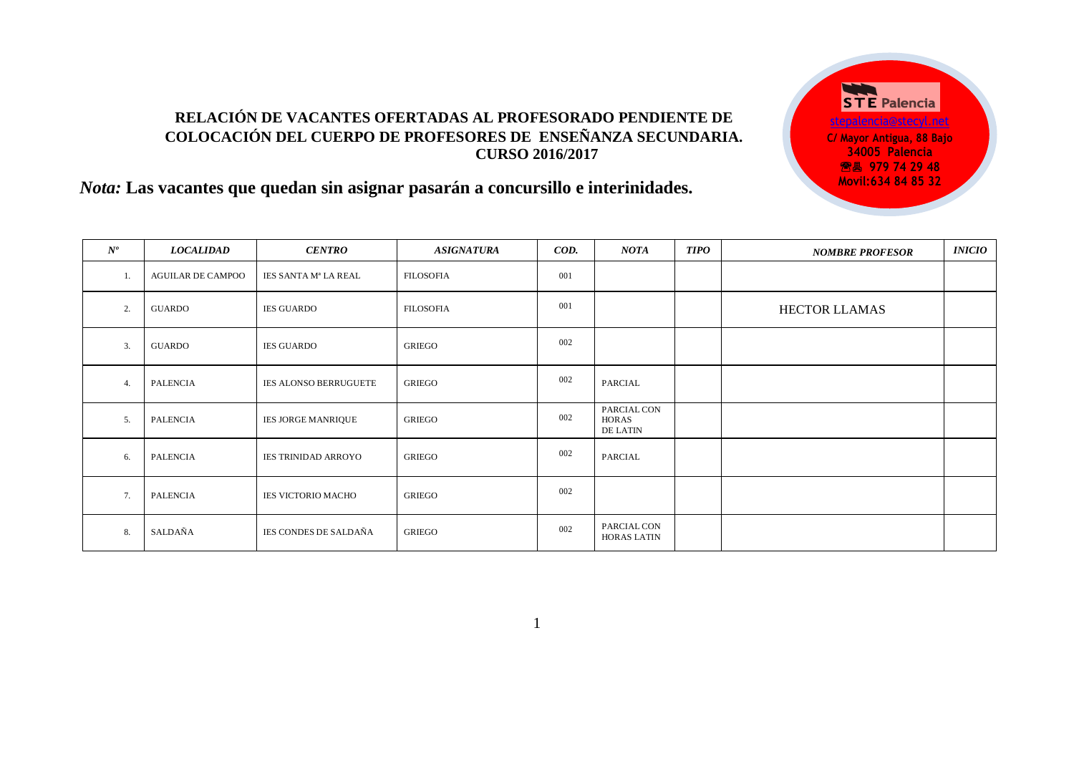## **RELACIÓN DE VACANTES OFERTADAS AL PROFESORADO PENDIENTE DE COLOCACIÓN DEL CUERPO DE PROFESORES DE ENSEÑANZA SECUNDARIA. CURSO 2016/2017**

**STE Palencia** [stepalencia@stecyl.net](mailto:stepalencia@stecyl.net) **C/ Mayor Antigua, 88 Bajo 34005 Palencia <sup>28</sup> 8 979 74 29 48 Movil:634 84 85 32**

# *Nota:* **Las vacantes que quedan sin asignar pasarán a concursillo e interinidades.**

| $N^{o}$ | <b>LOCALIDAD</b>         | <b>CENTRO</b>                | <b>ASIGNATURA</b> | COD. | <b>NOTA</b>                             | <b>TIPO</b> | <b>NOMBRE PROFESOR</b> | <i><b>INICIO</b></i> |
|---------|--------------------------|------------------------------|-------------------|------|-----------------------------------------|-------------|------------------------|----------------------|
| -1.     | <b>AGUILAR DE CAMPOO</b> | IES SANTA Mª LA REAL         | <b>FILOSOFIA</b>  | 001  |                                         |             |                        |                      |
| 2.      | GUARDO                   | <b>IES GUARDO</b>            | <b>FILOSOFIA</b>  | 001  |                                         |             | <b>HECTOR LLAMAS</b>   |                      |
| 3.      | GUARDO                   | <b>IES GUARDO</b>            | <b>GRIEGO</b>     | 002  |                                         |             |                        |                      |
| 4.      | <b>PALENCIA</b>          | <b>IES ALONSO BERRUGUETE</b> | <b>GRIEGO</b>     | 002  | PARCIAL                                 |             |                        |                      |
| 5.      | <b>PALENCIA</b>          | IES JORGE MANRIQUE           | <b>GRIEGO</b>     | 002  | PARCIAL CON<br><b>HORAS</b><br>DE LATIN |             |                        |                      |
| 6.      | <b>PALENCIA</b>          | <b>IES TRINIDAD ARROYO</b>   | <b>GRIEGO</b>     | 002  | PARCIAL                                 |             |                        |                      |
| 7.      | <b>PALENCIA</b>          | <b>IES VICTORIO MACHO</b>    | <b>GRIEGO</b>     | 002  |                                         |             |                        |                      |
| 8.      | SALDAÑA                  | IES CONDES DE SALDAÑA        | <b>GRIEGO</b>     | 002  | PARCIAL CON<br><b>HORAS LATIN</b>       |             |                        |                      |

1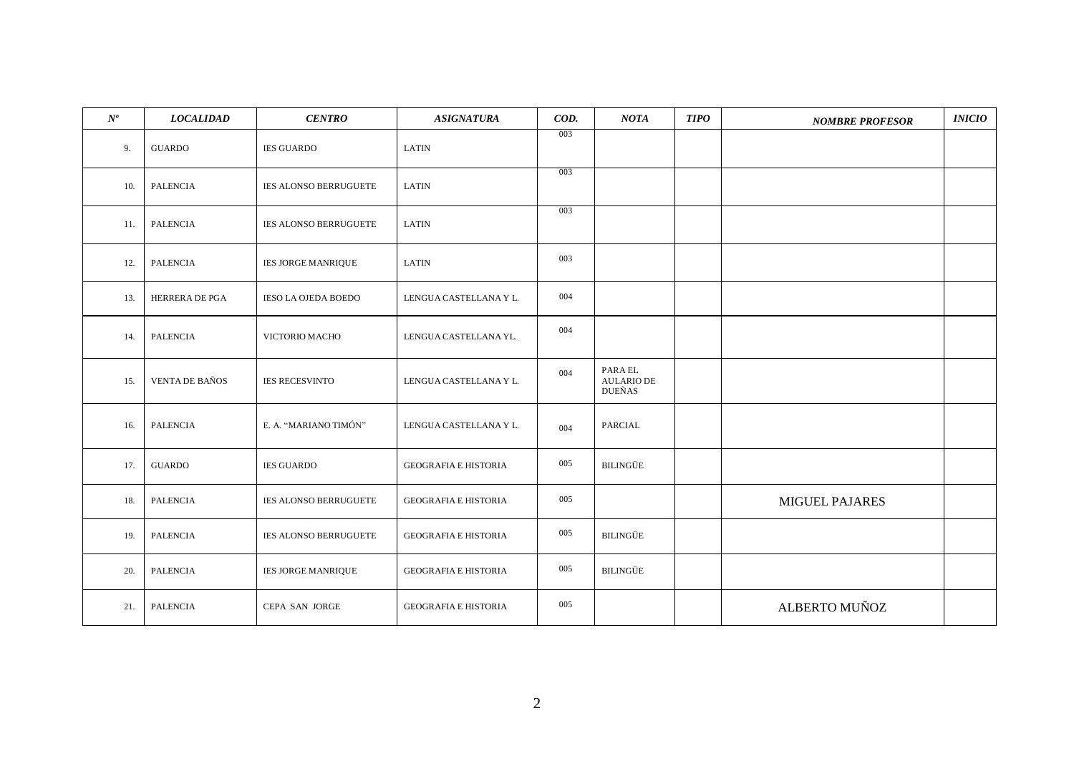| $N^o\!$ | <b>LOCALIDAD</b>      | <b>CENTRO</b>                | <b>ASIGNATURA</b>           | COD. | NOTA                                          | <b>TIPO</b> | <b>NOMBRE PROFESOR</b> | INICIO |
|---------|-----------------------|------------------------------|-----------------------------|------|-----------------------------------------------|-------------|------------------------|--------|
| 9.      | <b>GUARDO</b>         | <b>IES GUARDO</b>            | <b>LATIN</b>                | 003  |                                               |             |                        |        |
| 10.     | PALENCIA              | IES ALONSO BERRUGUETE        | <b>LATIN</b>                | 003  |                                               |             |                        |        |
| 11.     | PALENCIA              | <b>IES ALONSO BERRUGUETE</b> | <b>LATIN</b>                | 003  |                                               |             |                        |        |
| 12.     | <b>PALENCIA</b>       | <b>IES JORGE MANRIQUE</b>    | <b>LATIN</b>                | 003  |                                               |             |                        |        |
| 13.     | HERRERA DE PGA        | <b>IESO LA OJEDA BOEDO</b>   | LENGUA CASTELLANA Y L.      | 004  |                                               |             |                        |        |
| 14.     | <b>PALENCIA</b>       | VICTORIO MACHO               | LENGUA CASTELLANA YL.       | 004  |                                               |             |                        |        |
| 15.     | <b>VENTA DE BAÑOS</b> | <b>IES RECESVINTO</b>        | LENGUA CASTELLANA Y L.      | 004  | PARA EL<br><b>AULARIO DE</b><br><b>DUEÑAS</b> |             |                        |        |
| 16.     | <b>PALENCIA</b>       | E. A. "MARIANO TIMÓN"        | LENGUA CASTELLANA Y L.      | 004  | PARCIAL                                       |             |                        |        |
| 17.     | <b>GUARDO</b>         | <b>IES GUARDO</b>            | <b>GEOGRAFIA E HISTORIA</b> | 005  | <b>BILINGÜE</b>                               |             |                        |        |
| 18.     | <b>PALENCIA</b>       | IES ALONSO BERRUGUETE        | <b>GEOGRAFIA E HISTORIA</b> | 005  |                                               |             | <b>MIGUEL PAJARES</b>  |        |
| 19.     | <b>PALENCIA</b>       | IES ALONSO BERRUGUETE        | <b>GEOGRAFIA E HISTORIA</b> | 005  | BILINGÜE                                      |             |                        |        |
| 20.     | PALENCIA              | IES JORGE MANRIQUE           | <b>GEOGRAFIA E HISTORIA</b> | 005  | BILINGÜE                                      |             |                        |        |
| 21.     | <b>PALENCIA</b>       | CEPA SAN JORGE               | <b>GEOGRAFIA E HISTORIA</b> | 005  |                                               |             | ALBERTO MUÑOZ          |        |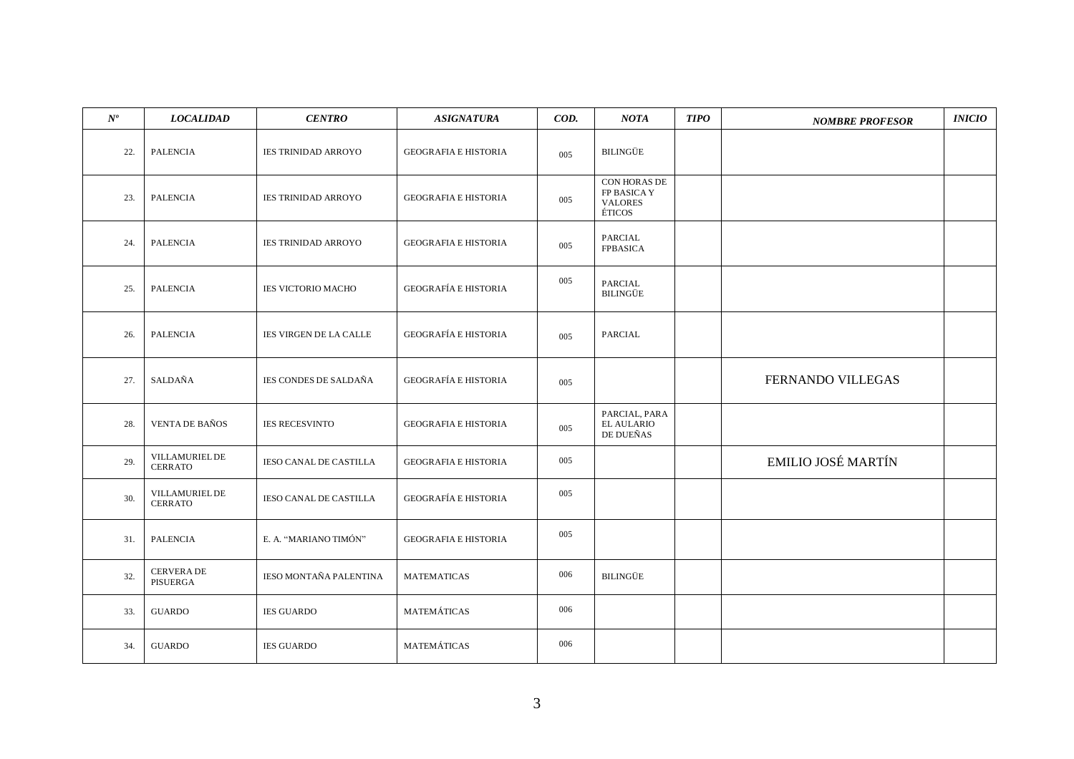| $N^o\,$ | <b>LOCALIDAD</b>                 | <b>CENTRO</b>                 | <b>ASIGNATURA</b>           | COD. | NOTA                                                    | <b>TIPO</b> | <b>NOMBRE PROFESOR</b>    | <b>INICIO</b> |
|---------|----------------------------------|-------------------------------|-----------------------------|------|---------------------------------------------------------|-------------|---------------------------|---------------|
| 22.     | <b>PALENCIA</b>                  | <b>IES TRINIDAD ARROYO</b>    | <b>GEOGRAFIA E HISTORIA</b> | 005  | BILINGÜE                                                |             |                           |               |
| 23.     | <b>PALENCIA</b>                  | <b>IES TRINIDAD ARROYO</b>    | <b>GEOGRAFIA E HISTORIA</b> | 005  | CON HORAS DE<br>FP BASICA Y<br><b>VALORES</b><br>ÉTICOS |             |                           |               |
| 24.     | <b>PALENCIA</b>                  | <b>IES TRINIDAD ARROYO</b>    | <b>GEOGRAFIA E HISTORIA</b> | 005  | PARCIAL<br><b>FPBASICA</b>                              |             |                           |               |
| 25.     | <b>PALENCIA</b>                  | <b>IES VICTORIO MACHO</b>     | <b>GEOGRAFÍA E HISTORIA</b> | 005  | PARCIAL<br>BILINGÜE                                     |             |                           |               |
| 26.     | <b>PALENCIA</b>                  | IES VIRGEN DE LA CALLE        | <b>GEOGRAFÍA E HISTORIA</b> | 005  | PARCIAL                                                 |             |                           |               |
| 27.     | SALDAÑA                          | <b>IES CONDES DE SALDAÑA</b>  | <b>GEOGRAFÍA E HISTORIA</b> | 005  |                                                         |             | FERNANDO VILLEGAS         |               |
| 28.     | <b>VENTA DE BAÑOS</b>            | <b>IES RECESVINTO</b>         | <b>GEOGRAFIA E HISTORIA</b> | 005  | PARCIAL, PARA<br><b>EL AULARIO</b><br>DE DUEÑAS         |             |                           |               |
| 29.     | VILLAMURIEL DE<br><b>CERRATO</b> | <b>IESO CANAL DE CASTILLA</b> | <b>GEOGRAFIA E HISTORIA</b> | 005  |                                                         |             | <b>EMILIO JOSÉ MARTÍN</b> |               |
| 30.     | VILLAMURIEL DE<br><b>CERRATO</b> | <b>IESO CANAL DE CASTILLA</b> | <b>GEOGRAFÍA E HISTORIA</b> | 005  |                                                         |             |                           |               |
| 31.     | <b>PALENCIA</b>                  | E. A. "MARIANO TIMÓN"         | <b>GEOGRAFIA E HISTORIA</b> | 005  |                                                         |             |                           |               |
| 32.     | CERVERA DE<br>PISUERGA           | IESO MONTAÑA PALENTINA        | <b>MATEMATICAS</b>          | 006  | <b>BILINGÜE</b>                                         |             |                           |               |
| 33.     | <b>GUARDO</b>                    | <b>IES GUARDO</b>             | MATEMÁTICAS                 | 006  |                                                         |             |                           |               |
| 34.     | <b>GUARDO</b>                    | <b>IES GUARDO</b>             | MATEMÁTICAS                 | 006  |                                                         |             |                           |               |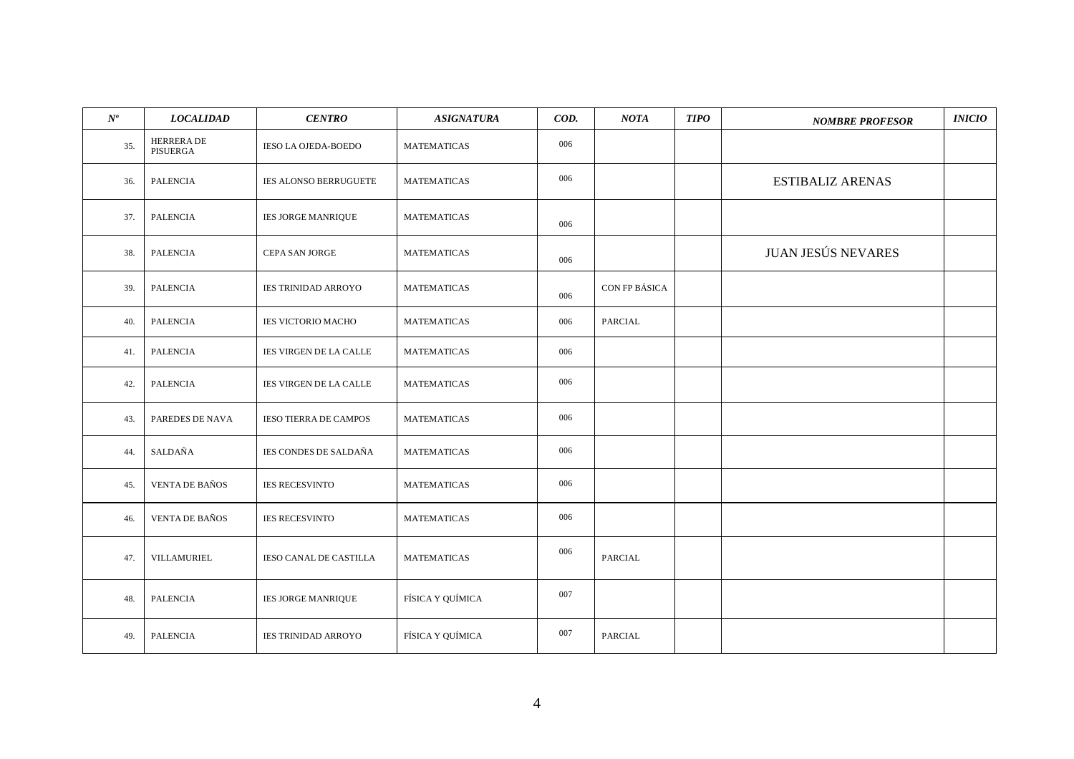| $N^o\!$ | <b>LOCALIDAD</b>             | <b>CENTRO</b>                 | <b>ASIGNATURA</b>  | COD. | NOTA          | <b>TIPO</b> | <b>NOMBRE PROFESOR</b>    | INICIO |
|---------|------------------------------|-------------------------------|--------------------|------|---------------|-------------|---------------------------|--------|
| 35.     | <b>HERRERADE</b><br>PISUERGA | IESO LA OJEDA-BOEDO           | <b>MATEMATICAS</b> | 006  |               |             |                           |        |
| 36.     | <b>PALENCIA</b>              | <b>IES ALONSO BERRUGUETE</b>  | <b>MATEMATICAS</b> | 006  |               |             | <b>ESTIBALIZ ARENAS</b>   |        |
| 37.     | <b>PALENCIA</b>              | <b>IES JORGE MANRIQUE</b>     | MATEMATICAS        | 006  |               |             |                           |        |
| 38.     | <b>PALENCIA</b>              | CEPA SAN JORGE                | <b>MATEMATICAS</b> | 006  |               |             | <b>JUAN JESÚS NEVARES</b> |        |
| 39.     | <b>PALENCIA</b>              | <b>IES TRINIDAD ARROYO</b>    | <b>MATEMATICAS</b> | 006  | CON FP BÁSICA |             |                           |        |
| 40.     | <b>PALENCIA</b>              | <b>IES VICTORIO MACHO</b>     | <b>MATEMATICAS</b> | 006  | PARCIAL       |             |                           |        |
| 41.     | <b>PALENCIA</b>              | IES VIRGEN DE LA CALLE        | <b>MATEMATICAS</b> | 006  |               |             |                           |        |
| 42.     | <b>PALENCIA</b>              | IES VIRGEN DE LA CALLE        | <b>MATEMATICAS</b> | 006  |               |             |                           |        |
| 43.     | PAREDES DE NAVA              | <b>IESO TIERRA DE CAMPOS</b>  | <b>MATEMATICAS</b> | 006  |               |             |                           |        |
| 44.     | SALDAÑA                      | IES CONDES DE SALDAÑA         | <b>MATEMATICAS</b> | 006  |               |             |                           |        |
| 45.     | <b>VENTA DE BAÑOS</b>        | <b>IES RECESVINTO</b>         | <b>MATEMATICAS</b> | 006  |               |             |                           |        |
| 46.     | <b>VENTA DE BAÑOS</b>        | <b>IES RECESVINTO</b>         | <b>MATEMATICAS</b> | 006  |               |             |                           |        |
| 47.     | VILLAMURIEL                  | <b>IESO CANAL DE CASTILLA</b> | <b>MATEMATICAS</b> | 006  | PARCIAL       |             |                           |        |
| 48.     | PALENCIA                     | IES JORGE MANRIQUE            | FÍSICA Y QUÍMICA   | 007  |               |             |                           |        |
| 49.     | <b>PALENCIA</b>              | <b>IES TRINIDAD ARROYO</b>    | FÍSICA Y QUÍMICA   | 007  | PARCIAL       |             |                           |        |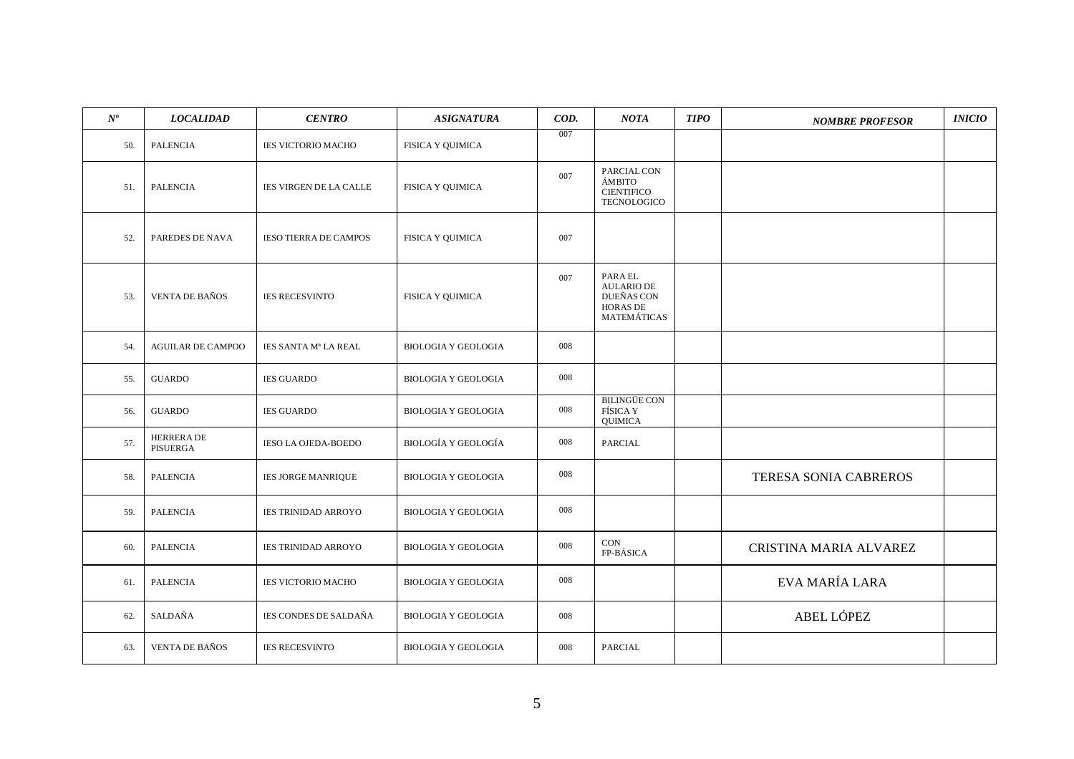| $N^{o}$ | <b>LOCALIDAD</b>             | <b>CENTRO</b>                 | <b>ASIGNATURA</b>          | COD. | <b>NOTA</b>                                                                         | <b>TIPO</b> | <b>NOMBRE PROFESOR</b>       | <b>INICIO</b> |
|---------|------------------------------|-------------------------------|----------------------------|------|-------------------------------------------------------------------------------------|-------------|------------------------------|---------------|
| 50.     | <b>PALENCIA</b>              | <b>IES VICTORIO MACHO</b>     | FISICA Y QUIMICA           | 007  |                                                                                     |             |                              |               |
| 51.     | <b>PALENCIA</b>              | <b>IES VIRGEN DE LA CALLE</b> | <b>FISICA Y QUIMICA</b>    | 007  | PARCIAL CON<br><b>ÁMBITO</b><br><b>CIENTIFICO</b><br><b>TECNOLOGICO</b>             |             |                              |               |
| 52.     | PAREDES DE NAVA              | <b>IESO TIERRA DE CAMPOS</b>  | <b>FISICA Y QUIMICA</b>    | 007  |                                                                                     |             |                              |               |
| 53.     | <b>VENTA DE BAÑOS</b>        | <b>IES RECESVINTO</b>         | <b>FISICA Y QUIMICA</b>    | 007  | PARA EL<br><b>AULARIO DE</b><br><b>DUEÑAS CON</b><br><b>HORAS DE</b><br>MATEMÁTICAS |             |                              |               |
| 54.     | <b>AGUILAR DE CAMPOO</b>     | IES SANTA Mª LA REAL          | <b>BIOLOGIA Y GEOLOGIA</b> | 008  |                                                                                     |             |                              |               |
| 55.     | <b>GUARDO</b>                | <b>IES GUARDO</b>             | <b>BIOLOGIA Y GEOLOGIA</b> | 008  |                                                                                     |             |                              |               |
| 56.     | <b>GUARDO</b>                | <b>IES GUARDO</b>             | <b>BIOLOGIA Y GEOLOGIA</b> | 008  | <b>BILINGÜE CON</b><br><b>FÍSICA Y</b><br><b>QUIMICA</b>                            |             |                              |               |
| 57.     | <b>HERRERADE</b><br>PISUERGA | IESO LA OJEDA-BOEDO           | <b>BIOLOGÍA Y GEOLOGÍA</b> | 008  | PARCIAL                                                                             |             |                              |               |
| 58.     | <b>PALENCIA</b>              | <b>IES JORGE MANRIQUE</b>     | <b>BIOLOGIA Y GEOLOGIA</b> | 008  |                                                                                     |             | <b>TERESA SONIA CABREROS</b> |               |
| 59.     | <b>PALENCIA</b>              | <b>IES TRINIDAD ARROYO</b>    | <b>BIOLOGIA Y GEOLOGIA</b> | 008  |                                                                                     |             |                              |               |
| 60.     | <b>PALENCIA</b>              | <b>IES TRINIDAD ARROYO</b>    | <b>BIOLOGIA Y GEOLOGIA</b> | 008  | CON<br>FP-BÁSICA                                                                    |             | CRISTINA MARIA ALVAREZ       |               |
| 61.     | <b>PALENCIA</b>              | IES VICTORIO MACHO            | <b>BIOLOGIA Y GEOLOGIA</b> | 008  |                                                                                     |             | EVA MARÍA LARA               |               |
| 62.     | SALDAÑA                      | IES CONDES DE SALDAÑA         | <b>BIOLOGIA Y GEOLOGIA</b> | 008  |                                                                                     |             | ABEL LÓPEZ                   |               |
| 63.     | <b>VENTA DE BAÑOS</b>        | <b>IES RECESVINTO</b>         | <b>BIOLOGIA Y GEOLOGIA</b> | 008  | PARCIAL                                                                             |             |                              |               |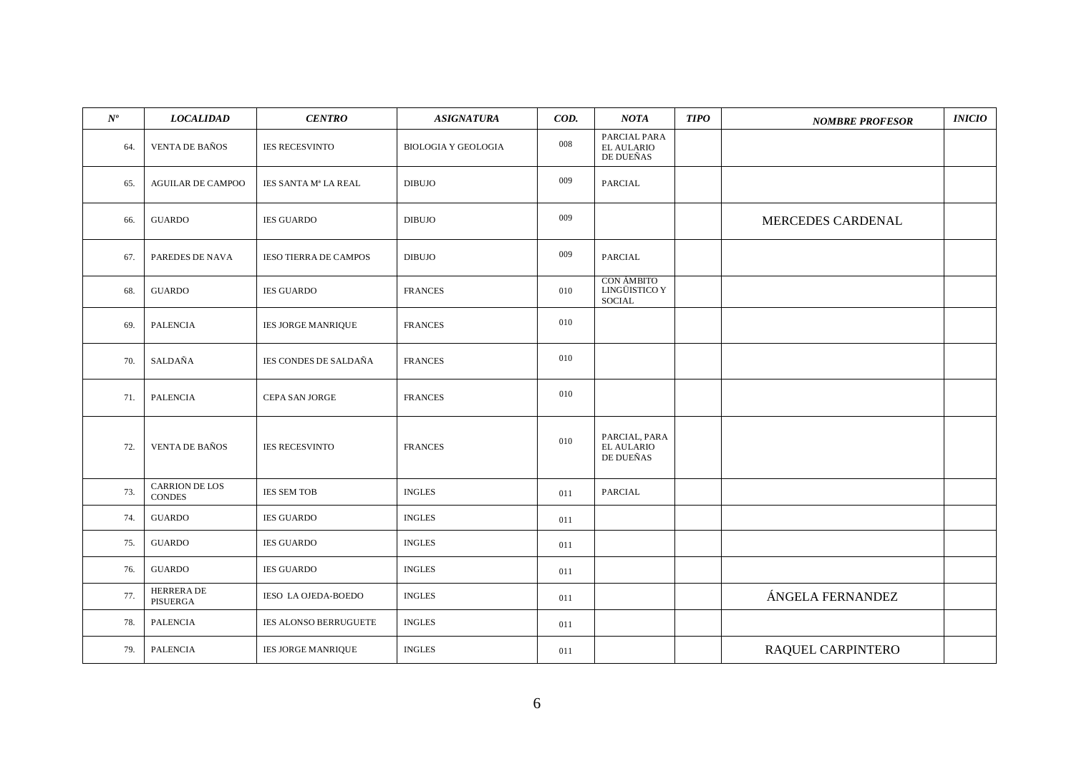| $N^o\!$ | <b>LOCALIDAD</b>                | <b>CENTRO</b>                | <b>ASIGNATURA</b>          | COD. | NOTA                                                | <b>TIPO</b> | <b>NOMBRE PROFESOR</b> | <b>INICIO</b> |
|---------|---------------------------------|------------------------------|----------------------------|------|-----------------------------------------------------|-------------|------------------------|---------------|
| 64.     | <b>VENTA DE BAÑOS</b>           | <b>IES RECESVINTO</b>        | <b>BIOLOGIA Y GEOLOGIA</b> | 008  | PARCIAL PARA<br><b>EL AULARIO</b><br>DE DUEÑAS      |             |                        |               |
| 65.     | <b>AGUILAR DE CAMPOO</b>        | IES SANTA Mª LA REAL         | <b>DIBUJO</b>              | 009  | PARCIAL                                             |             |                        |               |
| 66.     | <b>GUARDO</b>                   | <b>IES GUARDO</b>            | <b>DIBUJO</b>              | 009  |                                                     |             | MERCEDES CARDENAL      |               |
| 67.     | PAREDES DE NAVA                 | <b>IESO TIERRA DE CAMPOS</b> | <b>DIBUJO</b>              | 009  | <b>PARCIAL</b>                                      |             |                        |               |
| 68.     | <b>GUARDO</b>                   | <b>IES GUARDO</b>            | <b>FRANCES</b>             | 010  | <b>CON ÁMBITO</b><br>LINGÜISTICO Y<br><b>SOCIAL</b> |             |                        |               |
| 69.     | <b>PALENCIA</b>                 | IES JORGE MANRIQUE           | <b>FRANCES</b>             | 010  |                                                     |             |                        |               |
| 70.     | SALDAÑA                         | <b>IES CONDES DE SALDAÑA</b> | <b>FRANCES</b>             | 010  |                                                     |             |                        |               |
| 71.     | <b>PALENCIA</b>                 | CEPA SAN JORGE               | <b>FRANCES</b>             | 010  |                                                     |             |                        |               |
| 72.     | <b>VENTA DE BAÑOS</b>           | <b>IES RECESVINTO</b>        | <b>FRANCES</b>             | 010  | PARCIAL, PARA<br><b>EL AULARIO</b><br>DE DUEÑAS     |             |                        |               |
| 73.     | CARRION DE LOS<br><b>CONDES</b> | <b>IES SEM TOB</b>           | <b>INGLES</b>              | 011  | PARCIAL                                             |             |                        |               |
| 74.     | <b>GUARDO</b>                   | <b>IES GUARDO</b>            | <b>INGLES</b>              | 011  |                                                     |             |                        |               |
| 75.     | <b>GUARDO</b>                   | <b>IES GUARDO</b>            | <b>INGLES</b>              | 011  |                                                     |             |                        |               |
| 76.     | <b>GUARDO</b>                   | <b>IES GUARDO</b>            | <b>INGLES</b>              | 011  |                                                     |             |                        |               |
| 77.     | <b>HERRERADE</b><br>PISUERGA    | IESO LA OJEDA-BOEDO          | <b>INGLES</b>              | 011  |                                                     |             | ÁNGELA FERNANDEZ       |               |
| 78.     | PALENCIA                        | IES ALONSO BERRUGUETE        | <b>INGLES</b>              | 011  |                                                     |             |                        |               |
| 79.     | PALENCIA                        | <b>IES JORGE MANRIQUE</b>    | <b>INGLES</b>              | 011  |                                                     |             | RAQUEL CARPINTERO      |               |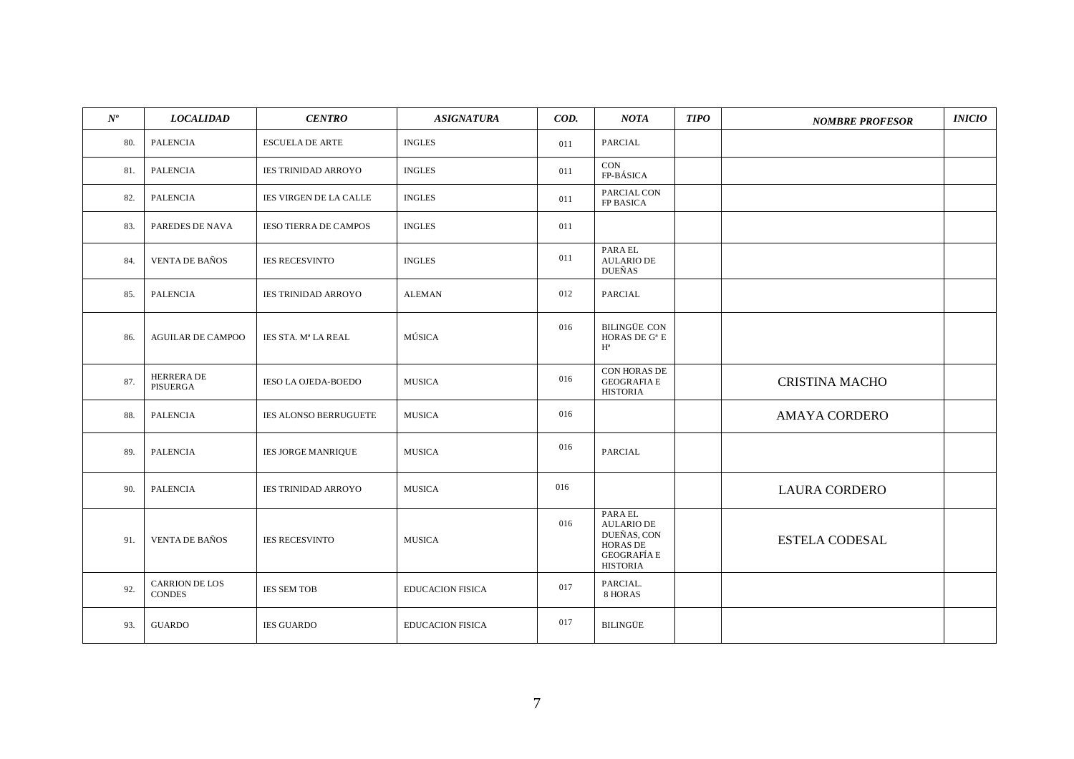| $N^o$ | <b>LOCALIDAD</b>                       | <b>CENTRO</b>                 | <b>ASIGNATURA</b>       | COD. | <b>NOTA</b>                                                                                             | <b>TIPO</b> | <b>NOMBRE PROFESOR</b> | <i><b>INICIO</b></i> |
|-------|----------------------------------------|-------------------------------|-------------------------|------|---------------------------------------------------------------------------------------------------------|-------------|------------------------|----------------------|
| 80.   | <b>PALENCIA</b>                        | <b>ESCUELA DE ARTE</b>        | <b>INGLES</b>           | 011  | PARCIAL                                                                                                 |             |                        |                      |
| 81.   | <b>PALENCIA</b>                        | <b>IES TRINIDAD ARROYO</b>    | <b>INGLES</b>           | 011  | CON<br>FP-BÁSICA                                                                                        |             |                        |                      |
| 82.   | <b>PALENCIA</b>                        | <b>IES VIRGEN DE LA CALLE</b> | <b>INGLES</b>           | 011  | PARCIAL CON<br>FP BASICA                                                                                |             |                        |                      |
| 83.   | PAREDES DE NAVA                        | <b>IESO TIERRA DE CAMPOS</b>  | <b>INGLES</b>           | 011  |                                                                                                         |             |                        |                      |
| 84.   | <b>VENTA DE BAÑOS</b>                  | <b>IES RECESVINTO</b>         | <b>INGLES</b>           | 011  | PARA EL<br><b>AULARIO DE</b><br><b>DUEÑAS</b>                                                           |             |                        |                      |
| 85.   | <b>PALENCIA</b>                        | <b>IES TRINIDAD ARROYO</b>    | <b>ALEMAN</b>           | 012  | PARCIAL                                                                                                 |             |                        |                      |
| 86.   | <b>AGUILAR DE CAMPOO</b>               | IES STA. Mª LA REAL           | MÚSICA                  | 016  | <b>BILINGÜE CON</b><br>HORAS DE $G^a$ E<br>$H^a$                                                        |             |                        |                      |
| 87.   | <b>HERRERADE</b><br>PISUERGA           | IESO LA OJEDA-BOEDO           | MUSICA                  | 016  | CON HORAS DE<br><b>GEOGRAFIA E</b><br><b>HISTORIA</b>                                                   |             | <b>CRISTINA MACHO</b>  |                      |
| 88.   | PALENCIA                               | IES ALONSO BERRUGUETE         | MUSICA                  | 016  |                                                                                                         |             | <b>AMAYA CORDERO</b>   |                      |
| 89.   | <b>PALENCIA</b>                        | <b>IES JORGE MANRIQUE</b>     | <b>MUSICA</b>           | 016  | PARCIAL                                                                                                 |             |                        |                      |
| 90.   | <b>PALENCIA</b>                        | <b>IES TRINIDAD ARROYO</b>    | <b>MUSICA</b>           | 016  |                                                                                                         |             | <b>LAURA CORDERO</b>   |                      |
| 91.   | <b>VENTA DE BAÑOS</b>                  | <b>IES RECESVINTO</b>         | <b>MUSICA</b>           | 016  | PARA EL<br><b>AULARIO DE</b><br>DUEÑAS, CON<br><b>HORAS DE</b><br><b>GEOGRAFÍA E</b><br><b>HISTORIA</b> |             | <b>ESTELA CODESAL</b>  |                      |
| 92.   | <b>CARRION DE LOS</b><br><b>CONDES</b> | <b>IES SEM TOB</b>            | <b>EDUCACION FISICA</b> | 017  | PARCIAL.<br>8 HORAS                                                                                     |             |                        |                      |
| 93.   | <b>GUARDO</b>                          | <b>IES GUARDO</b>             | <b>EDUCACION FISICA</b> | 017  | <b>BILINGÜE</b>                                                                                         |             |                        |                      |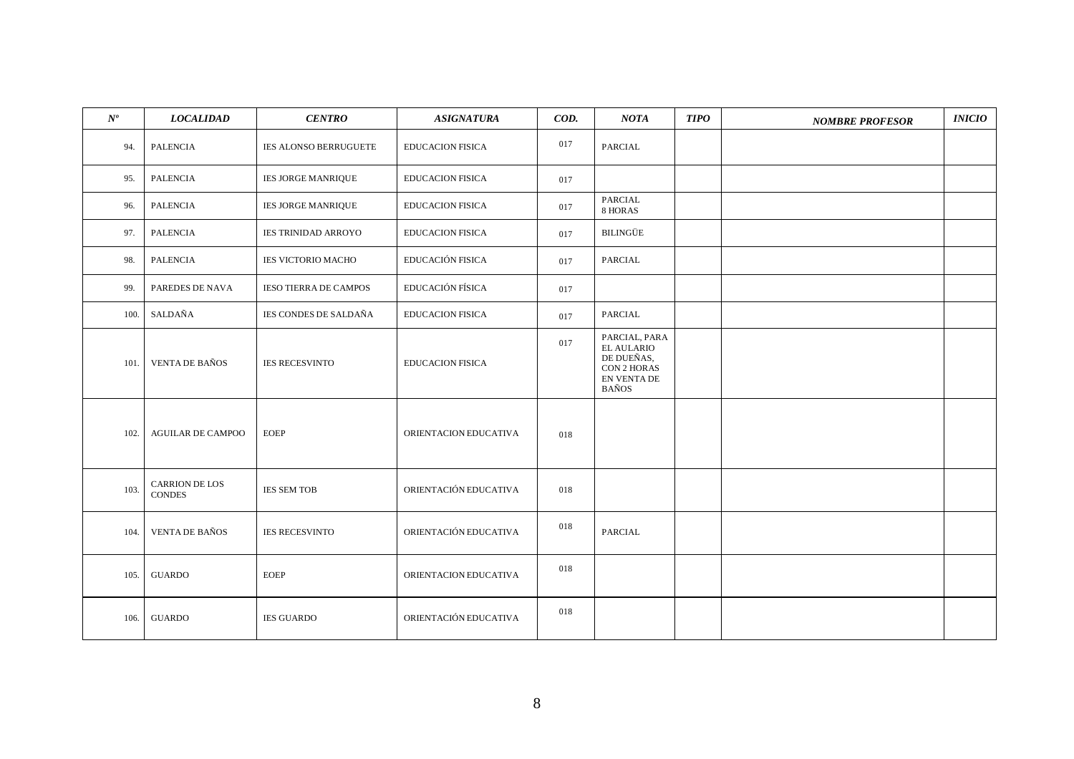| $N^{o}$ | <b>LOCALIDAD</b>                | <b>CENTRO</b>                | <b>ASIGNATURA</b>       | COD. | NOTA                                                                                                  | <b>TIPO</b> | <b>NOMBRE PROFESOR</b> | <b>INICIO</b> |
|---------|---------------------------------|------------------------------|-------------------------|------|-------------------------------------------------------------------------------------------------------|-------------|------------------------|---------------|
| 94.     | <b>PALENCIA</b>                 | IES ALONSO BERRUGUETE        | <b>EDUCACION FISICA</b> | 017  | PARCIAL                                                                                               |             |                        |               |
| 95.     | <b>PALENCIA</b>                 | <b>IES JORGE MANRIQUE</b>    | <b>EDUCACION FISICA</b> | 017  |                                                                                                       |             |                        |               |
| 96.     | PALENCIA                        | <b>IES JORGE MANRIQUE</b>    | <b>EDUCACION FISICA</b> | 017  | PARCIAL<br>8 HORAS                                                                                    |             |                        |               |
| 97.     | <b>PALENCIA</b>                 | <b>IES TRINIDAD ARROYO</b>   | <b>EDUCACION FISICA</b> | 017  | <b>BILINGÜE</b>                                                                                       |             |                        |               |
| 98.     | PALENCIA                        | <b>IES VICTORIO MACHO</b>    | EDUCACIÓN FISICA        | 017  | PARCIAL                                                                                               |             |                        |               |
| 99.     | PAREDES DE NAVA                 | <b>IESO TIERRA DE CAMPOS</b> | EDUCACIÓN FÍSICA        | 017  |                                                                                                       |             |                        |               |
| 100.    | SALDAÑA                         | IES CONDES DE SALDAÑA        | <b>EDUCACION FISICA</b> | 017  | PARCIAL                                                                                               |             |                        |               |
| 101.    | <b>VENTA DE BAÑOS</b>           | <b>IES RECESVINTO</b>        | <b>EDUCACION FISICA</b> | 017  | PARCIAL, PARA<br><b>EL AULARIO</b><br>DE DUEÑAS,<br><b>CON 2 HORAS</b><br>EN VENTA DE<br><b>BAÑOS</b> |             |                        |               |
| 102.    | <b>AGUILAR DE CAMPOO</b>        | <b>EOEP</b>                  | ORIENTACION EDUCATIVA   | 018  |                                                                                                       |             |                        |               |
| 103.    | CARRION DE LOS<br><b>CONDES</b> | <b>IES SEM TOB</b>           | ORIENTACIÓN EDUCATIVA   | 018  |                                                                                                       |             |                        |               |
| 104.    | <b>VENTA DE BAÑOS</b>           | <b>IES RECESVINTO</b>        | ORIENTACIÓN EDUCATIVA   | 018  | <b>PARCIAL</b>                                                                                        |             |                        |               |
| 105.    | <b>GUARDO</b>                   | <b>EOEP</b>                  | ORIENTACION EDUCATIVA   | 018  |                                                                                                       |             |                        |               |
| 106.    | <b>GUARDO</b>                   | <b>IES GUARDO</b>            | ORIENTACIÓN EDUCATIVA   | 018  |                                                                                                       |             |                        |               |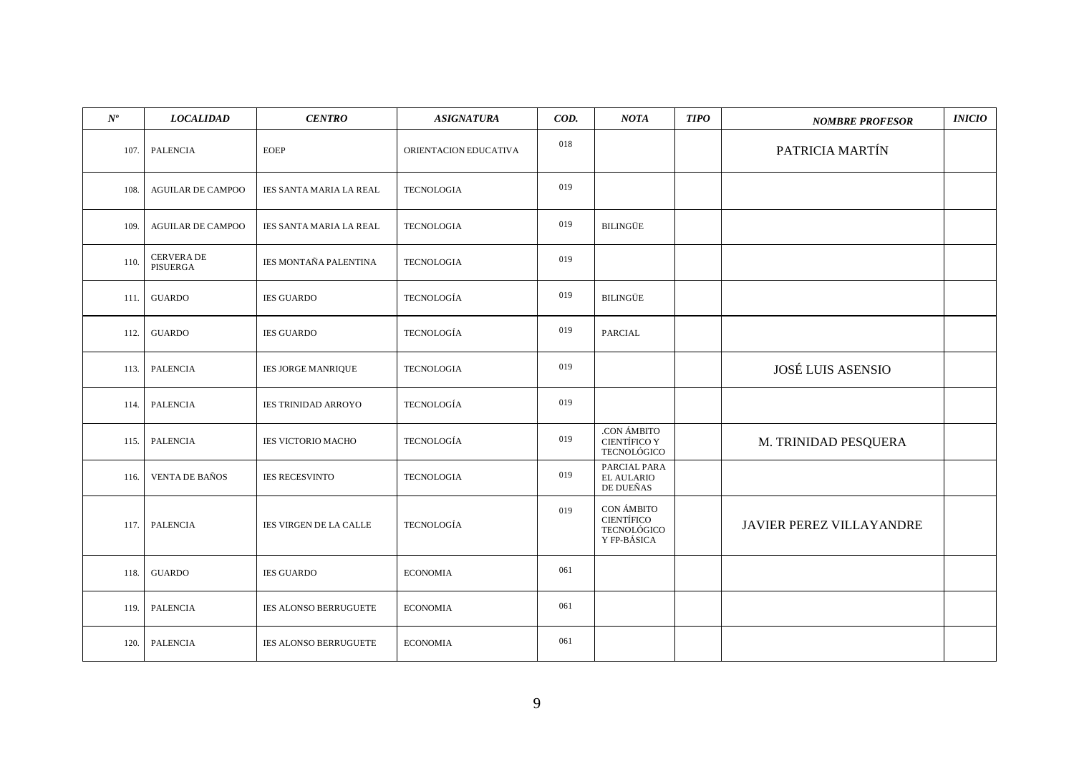| $N^o\!$ | <b>LOCALIDAD</b>         | <b>CENTRO</b>                  | <b>ASIGNATURA</b>     | COD. | <b>NOTA</b>                                                   | <b>TIPO</b> | <b>NOMBRE PROFESOR</b>          | <b>INICIO</b> |
|---------|--------------------------|--------------------------------|-----------------------|------|---------------------------------------------------------------|-------------|---------------------------------|---------------|
| 107.    | PALENCIA                 | <b>EOEP</b>                    | ORIENTACION EDUCATIVA | 018  |                                                               |             | PATRICIA MARTÍN                 |               |
| 108.    | <b>AGUILAR DE CAMPOO</b> | IES SANTA MARIA LA REAL        | <b>TECNOLOGIA</b>     | 019  |                                                               |             |                                 |               |
| 109.    | <b>AGUILAR DE CAMPOO</b> | <b>IES SANTA MARIA LA REAL</b> | <b>TECNOLOGIA</b>     | 019  | <b>BILINGÜE</b>                                               |             |                                 |               |
| 110.    | CERVERA DE<br>PISUERGA   | IES MONTAÑA PALENTINA          | <b>TECNOLOGIA</b>     | 019  |                                                               |             |                                 |               |
| 111.    | <b>GUARDO</b>            | <b>IES GUARDO</b>              | <b>TECNOLOGÍA</b>     | 019  | <b>BILINGÜE</b>                                               |             |                                 |               |
| 112.    | <b>GUARDO</b>            | <b>IES GUARDO</b>              | TECNOLOGÍA            | 019  | <b>PARCIAL</b>                                                |             |                                 |               |
| 113.    | <b>PALENCIA</b>          | <b>IES JORGE MANRIQUE</b>      | <b>TECNOLOGIA</b>     | 019  |                                                               |             | <b>JOSÉ LUIS ASENSIO</b>        |               |
| 114.    | <b>PALENCIA</b>          | <b>IES TRINIDAD ARROYO</b>     | <b>TECNOLOGÍA</b>     | 019  |                                                               |             |                                 |               |
| 115.    | <b>PALENCIA</b>          | IES VICTORIO MACHO             | TECNOLOGÍA            | 019  | .CON ÁMBITO<br><b>CIENTÍFICO Y</b><br>TECNOLÓGICO             |             | M. TRINIDAD PESQUERA            |               |
| 116.    | <b>VENTA DE BAÑOS</b>    | <b>IES RECESVINTO</b>          | <b>TECNOLOGIA</b>     | 019  | PARCIAL PARA<br>EL AULARIO<br>DE DUEÑAS                       |             |                                 |               |
| 117.    | <b>PALENCIA</b>          | <b>IES VIRGEN DE LA CALLE</b>  | <b>TECNOLOGÍA</b>     | 019  | CON ÁMBITO<br><b>CIENTÍFICO</b><br>TECNOLÓGICO<br>Y FP-BÁSICA |             | <b>JAVIER PEREZ VILLAYANDRE</b> |               |
| 118.    | <b>GUARDO</b>            | <b>IES GUARDO</b>              | <b>ECONOMIA</b>       | 061  |                                                               |             |                                 |               |
| 119.    | <b>PALENCIA</b>          | <b>IES ALONSO BERRUGUETE</b>   | <b>ECONOMIA</b>       | 061  |                                                               |             |                                 |               |
| 120.    | <b>PALENCIA</b>          | IES ALONSO BERRUGUETE          | <b>ECONOMIA</b>       | 061  |                                                               |             |                                 |               |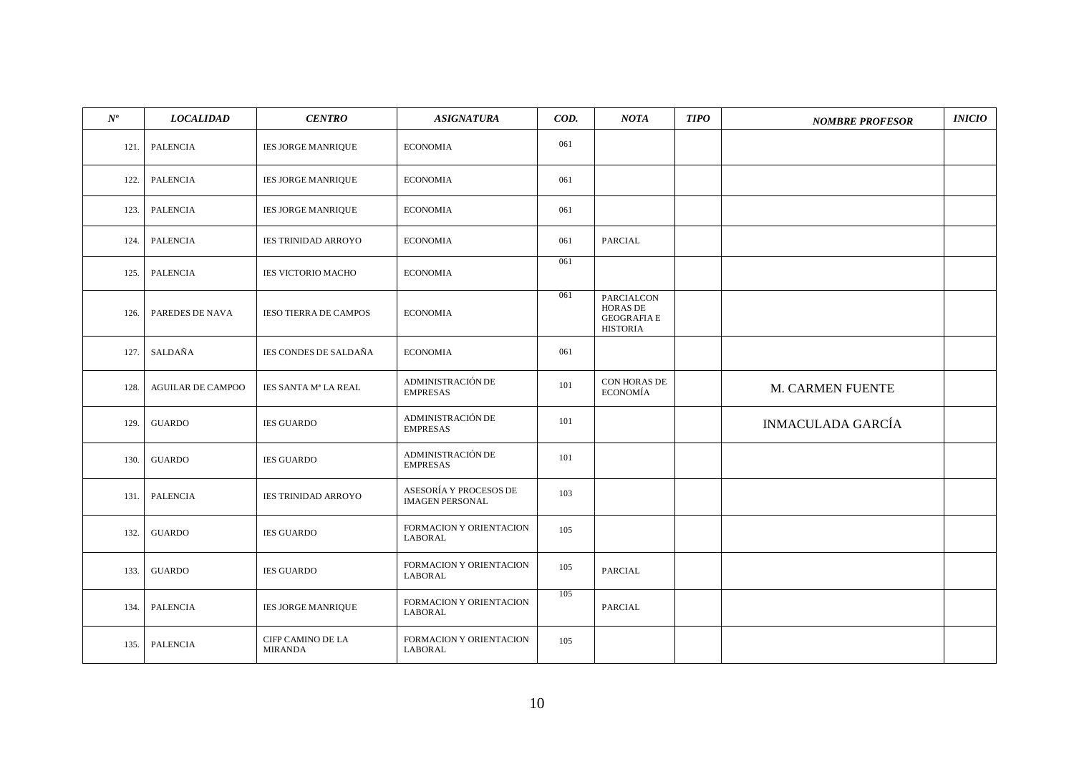| $N^o\!$ | <b>LOCALIDAD</b>         | <b>CENTRO</b>                       | <b>ASIGNATURA</b>                                | COD. | <b>NOTA</b>                                                            | <b>TIPO</b> | <b>NOMBRE PROFESOR</b>   | INICIO |
|---------|--------------------------|-------------------------------------|--------------------------------------------------|------|------------------------------------------------------------------------|-------------|--------------------------|--------|
| 121.    | PALENCIA                 | <b>IES JORGE MANRIQUE</b>           | <b>ECONOMIA</b>                                  | 061  |                                                                        |             |                          |        |
| 122.    | PALENCIA                 | <b>IES JORGE MANRIQUE</b>           | <b>ECONOMIA</b>                                  | 061  |                                                                        |             |                          |        |
| 123.    | PALENCIA                 | <b>IES JORGE MANRIQUE</b>           | <b>ECONOMIA</b>                                  | 061  |                                                                        |             |                          |        |
| 124.    | <b>PALENCIA</b>          | <b>IES TRINIDAD ARROYO</b>          | <b>ECONOMIA</b>                                  | 061  | PARCIAL                                                                |             |                          |        |
| 125.    | PALENCIA                 | <b>IES VICTORIO MACHO</b>           | <b>ECONOMIA</b>                                  | 061  |                                                                        |             |                          |        |
| 126.    | PAREDES DE NAVA          | <b>IESO TIERRA DE CAMPOS</b>        | <b>ECONOMIA</b>                                  | 061  | PARCIALCON<br><b>HORAS DE</b><br><b>GEOGRAFIA E</b><br><b>HISTORIA</b> |             |                          |        |
| 127.    | SALDAÑA                  | <b>IES CONDES DE SALDAÑA</b>        | <b>ECONOMIA</b>                                  | 061  |                                                                        |             |                          |        |
| 128.    | <b>AGUILAR DE CAMPOO</b> | IES SANTA Mª LA REAL                | ADMINISTRACIÓN DE<br><b>EMPRESAS</b>             | 101  | CON HORAS DE<br><b>ECONOMÍA</b>                                        |             | M. CARMEN FUENTE         |        |
| 129.    | <b>GUARDO</b>            | <b>IES GUARDO</b>                   | ADMINISTRACIÓN DE<br><b>EMPRESAS</b>             | 101  |                                                                        |             | <b>INMACULADA GARCÍA</b> |        |
| 130.    | <b>GUARDO</b>            | <b>IES GUARDO</b>                   | ADMINISTRACIÓN DE<br><b>EMPRESAS</b>             | 101  |                                                                        |             |                          |        |
| 131.    | PALENCIA                 | <b>IES TRINIDAD ARROYO</b>          | ASESORÍA Y PROCESOS DE<br><b>IMAGEN PERSONAL</b> | 103  |                                                                        |             |                          |        |
| 132.    | <b>GUARDO</b>            | <b>IES GUARDO</b>                   | FORMACION Y ORIENTACION<br>LABORAL               | 105  |                                                                        |             |                          |        |
| 133.    | <b>GUARDO</b>            | <b>IES GUARDO</b>                   | FORMACION Y ORIENTACION<br>LABORAL               | 105  | PARCIAL                                                                |             |                          |        |
| 134.    | <b>PALENCIA</b>          | IES JORGE MANRIQUE                  | FORMACION Y ORIENTACION<br>LABORAL               | 105  | PARCIAL                                                                |             |                          |        |
| 135.    | <b>PALENCIA</b>          | CIFP CAMINO DE LA<br><b>MIRANDA</b> | FORMACION Y ORIENTACION<br>LABORAL               | 105  |                                                                        |             |                          |        |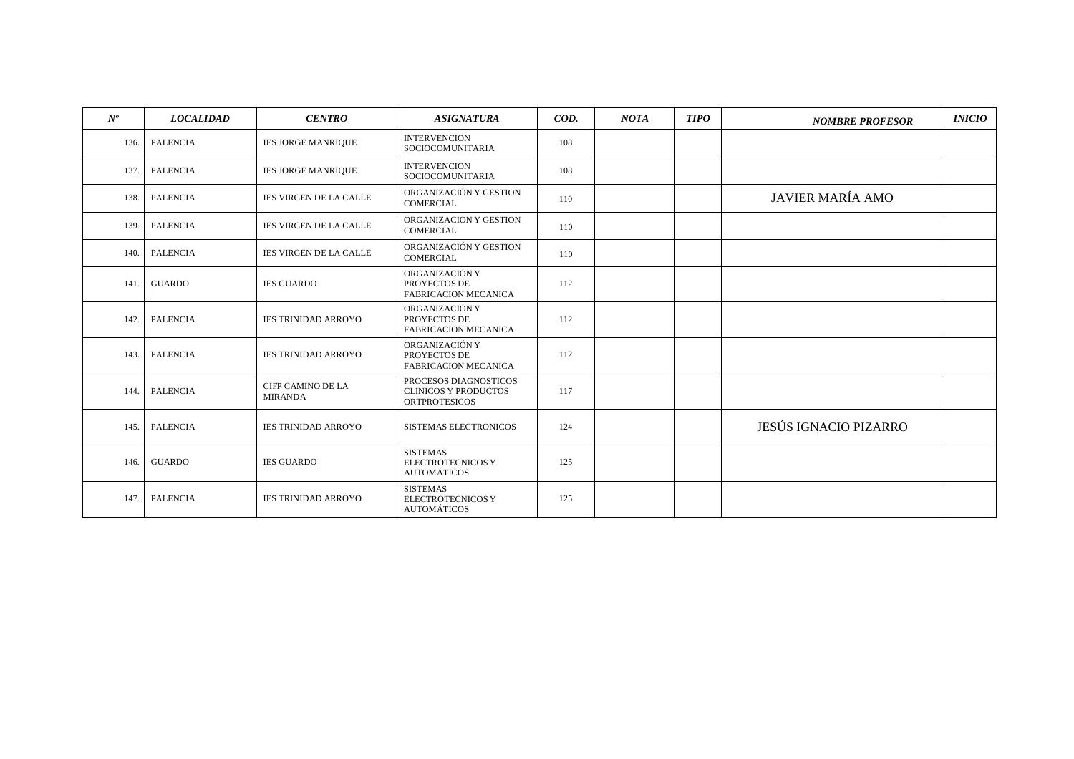| $N^{o}$ | <b>LOCALIDAD</b> | <b>CENTRO</b>                              | <b>ASIGNATURA</b>                                                            | $\mathcal{C}$ | <b>NOTA</b> | <b>TIPO</b> | <b>NOMBRE PROFESOR</b>  | <b>INICIO</b> |
|---------|------------------|--------------------------------------------|------------------------------------------------------------------------------|---------------|-------------|-------------|-------------------------|---------------|
| 136.    | <b>PALENCIA</b>  | <b>IES JORGE MANRIQUE</b>                  | <b>INTERVENCION</b><br>SOCIOCOMUNITARIA                                      | 108           |             |             |                         |               |
| 137.    | <b>PALENCIA</b>  | <b>IES JORGE MANRIQUE</b>                  | <b>INTERVENCION</b><br>SOCIOCOMUNITARIA                                      | 108           |             |             |                         |               |
| 138.    | <b>PALENCIA</b>  | <b>IES VIRGEN DE LA CALLE</b>              | ORGANIZACIÓN Y GESTION<br><b>COMERCIAL</b>                                   | 110           |             |             | <b>JAVIER MARÍA AMO</b> |               |
| 139.    | <b>PALENCIA</b>  | <b>IES VIRGEN DE LA CALLE</b>              | ORGANIZACION Y GESTION<br>COMERCIAL                                          | 110           |             |             |                         |               |
| 140.    | <b>PALENCIA</b>  | <b>IES VIRGEN DE LA CALLE</b>              | ORGANIZACIÓN Y GESTION<br><b>COMERCIAL</b>                                   | 110           |             |             |                         |               |
| 141.    | <b>GUARDO</b>    | <b>IES GUARDO</b>                          | ORGANIZACIÓN Y<br>PROYECTOS DE<br><b>FABRICACION MECANICA</b>                | 112           |             |             |                         |               |
| 142.    | <b>PALENCIA</b>  | <b>IES TRINIDAD ARROYO</b>                 | ORGANIZACIÓN Y<br>PROYECTOS DE<br>FABRICACION MECANICA                       | 112           |             |             |                         |               |
| 143.    | <b>PALENCIA</b>  | <b>IES TRINIDAD ARROYO</b>                 | ORGANIZACIÓN Y<br>PROYECTOS DE<br><b>FABRICACION MECANICA</b>                | 112           |             |             |                         |               |
| 144.    | <b>PALENCIA</b>  | <b>CIFP CAMINO DE LA</b><br><b>MIRANDA</b> | PROCESOS DIAGNOSTICOS<br><b>CLINICOS Y PRODUCTOS</b><br><b>ORTPROTESICOS</b> | 117           |             |             |                         |               |
| 145.    | <b>PALENCIA</b>  | <b>IES TRINIDAD ARROYO</b>                 | <b>SISTEMAS ELECTRONICOS</b>                                                 | 124           |             |             | JESÚS IGNACIO PIZARRO   |               |
| 146.    | <b>GUARDO</b>    | <b>IES GUARDO</b>                          | <b>SISTEMAS</b><br><b>ELECTROTECNICOS Y</b><br><b>AUTOMÁTICOS</b>            | 125           |             |             |                         |               |
| 147.    | <b>PALENCIA</b>  | <b>IES TRINIDAD ARROYO</b>                 | <b>SISTEMAS</b><br><b>ELECTROTECNICOS Y</b><br><b>AUTOMÁTICOS</b>            | 125           |             |             |                         |               |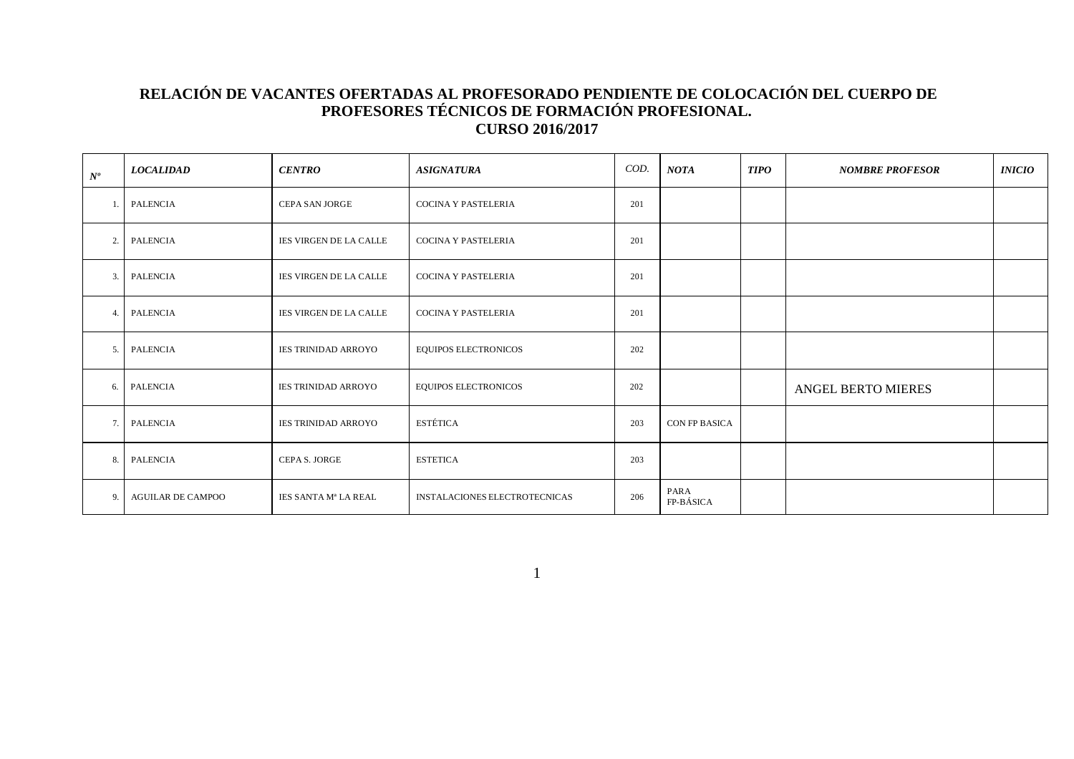#### **RELACIÓN DE VACANTES OFERTADAS AL PROFESORADO PENDIENTE DE COLOCACIÓN DEL CUERPO DE PROFESORES TÉCNICOS DE FORMACIÓN PROFESIONAL. CURSO 2016/2017**

| $N^o$ | <b>LOCALIDAD</b>         | <b>CENTRO</b>              | <b>ASIGNATURA</b>                    | COD. | <b>NOTA</b>       | <b>TIPO</b> | <b>NOMBRE PROFESOR</b>    | <i><b>INICIO</b></i> |
|-------|--------------------------|----------------------------|--------------------------------------|------|-------------------|-------------|---------------------------|----------------------|
|       | PALENCIA                 | <b>CEPA SAN JORGE</b>      | <b>COCINA Y PASTELERIA</b>           | 201  |                   |             |                           |                      |
| 2.    | PALENCIA                 | IES VIRGEN DE LA CALLE     | <b>COCINA Y PASTELERIA</b>           | 201  |                   |             |                           |                      |
| 3.    | PALENCIA                 | IES VIRGEN DE LA CALLE     | <b>COCINA Y PASTELERIA</b>           | 201  |                   |             |                           |                      |
| 4.    | PALENCIA                 | IES VIRGEN DE LA CALLE     | <b>COCINA Y PASTELERIA</b>           | 201  |                   |             |                           |                      |
| 5.    | PALENCIA                 | <b>IES TRINIDAD ARROYO</b> | <b>EQUIPOS ELECTRONICOS</b>          | 202  |                   |             |                           |                      |
| 6.    | PALENCIA                 | <b>IES TRINIDAD ARROYO</b> | <b>EQUIPOS ELECTRONICOS</b>          | 202  |                   |             | <b>ANGEL BERTO MIERES</b> |                      |
| 7.    | PALENCIA                 | <b>IES TRINIDAD ARROYO</b> | <b>ESTÉTICA</b>                      | 203  | CON FP BASICA     |             |                           |                      |
| 8.    | PALENCIA                 | CEPA S. JORGE              | <b>ESTETICA</b>                      | 203  |                   |             |                           |                      |
| 9.    | <b>AGUILAR DE CAMPOO</b> | IES SANTA Mª LA REAL       | <b>INSTALACIONES ELECTROTECNICAS</b> | 206  | PARA<br>FP-BÁSICA |             |                           |                      |

1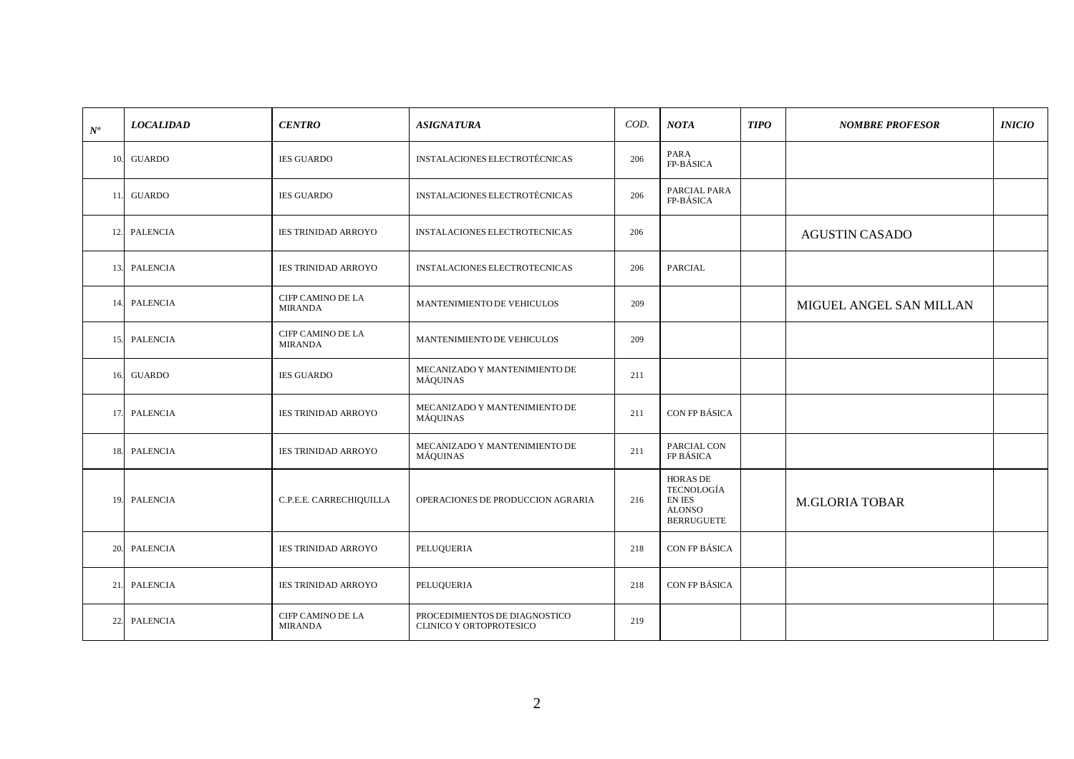| $\mathcal{N}^o$ | <b>LOCALIDAD</b> | <b>CENTRO</b>                       | <b>ASIGNATURA</b>                                        | COD.                            | <b>NOTA</b>                                                                          | <b>TIPO</b> | <b>NOMBRE PROFESOR</b>  | <b>INICIO</b> |
|-----------------|------------------|-------------------------------------|----------------------------------------------------------|---------------------------------|--------------------------------------------------------------------------------------|-------------|-------------------------|---------------|
|                 | 10. GUARDO       | <b>IES GUARDO</b>                   | <b>INSTALACIONES ELECTROTÉCNICAS</b>                     | 206                             | PARA<br>FP-BÁSICA                                                                    |             |                         |               |
| 11.             | <b>GUARDO</b>    | <b>IES GUARDO</b>                   | <b>INSTALACIONES ELECTROTÉCNICAS</b>                     | 206                             | PARCIAL PARA<br>FP-BÁSICA                                                            |             |                         |               |
|                 | 12. PALENCIA     | <b>IES TRINIDAD ARROYO</b>          | <b>INSTALACIONES ELECTROTECNICAS</b>                     | 206                             |                                                                                      |             | <b>AGUSTIN CASADO</b>   |               |
|                 | 13. PALENCIA     | <b>IES TRINIDAD ARROYO</b>          | INSTALACIONES ELECTROTECNICAS                            | 206                             | PARCIAL                                                                              |             |                         |               |
| 14.             | <b>PALENCIA</b>  | CIFP CAMINO DE LA<br><b>MIRANDA</b> | MANTENIMIENTO DE VEHICULOS                               | 209                             |                                                                                      |             | MIGUEL ANGEL SAN MILLAN |               |
| 15.             | <b>PALENCIA</b>  | CIFP CAMINO DE LA<br><b>MIRANDA</b> | MANTENIMIENTO DE VEHICULOS                               | 209                             |                                                                                      |             |                         |               |
| 16.             | <b>GUARDO</b>    | <b>IES GUARDO</b>                   | MECANIZADO Y MANTENIMIENTO DE<br>MÁQUINAS                | 211                             |                                                                                      |             |                         |               |
|                 | 17. PALENCIA     | <b>IES TRINIDAD ARROYO</b>          | MECANIZADO Y MANTENIMIENTO DE<br>MÁQUINAS                | CON FP BÁSICA<br>211            |                                                                                      |             |                         |               |
| 18.             | <b>PALENCIA</b>  | <b>IES TRINIDAD ARROYO</b>          | MECANIZADO Y MANTENIMIENTO DE<br>MÁQUINAS                | PARCIAL CON<br>211<br>FP BÁSICA |                                                                                      |             |                         |               |
|                 | 19. PALENCIA     | C.P.E.E. CARRECHIQUILLA             | OPERACIONES DE PRODUCCION AGRARIA                        | 216                             | <b>HORAS DE</b><br><b>TECNOLOGÍA</b><br>EN IES<br><b>ALONSO</b><br><b>BERRUGUETE</b> |             | <b>M.GLORIA TOBAR</b>   |               |
|                 | 20. PALENCIA     | <b>IES TRINIDAD ARROYO</b>          | PELUQUERIA                                               | 218                             | CON FP BÁSICA                                                                        |             |                         |               |
| 21.             | <b>PALENCIA</b>  | <b>IES TRINIDAD ARROYO</b>          | PELUQUERIA                                               | 218                             | CON FP BÁSICA                                                                        |             |                         |               |
| 22.             | <b>PALENCIA</b>  | CIFP CAMINO DE LA<br><b>MIRANDA</b> | PROCEDIMIENTOS DE DIAGNOSTICO<br>CLINICO Y ORTOPROTESICO | 219                             |                                                                                      |             |                         |               |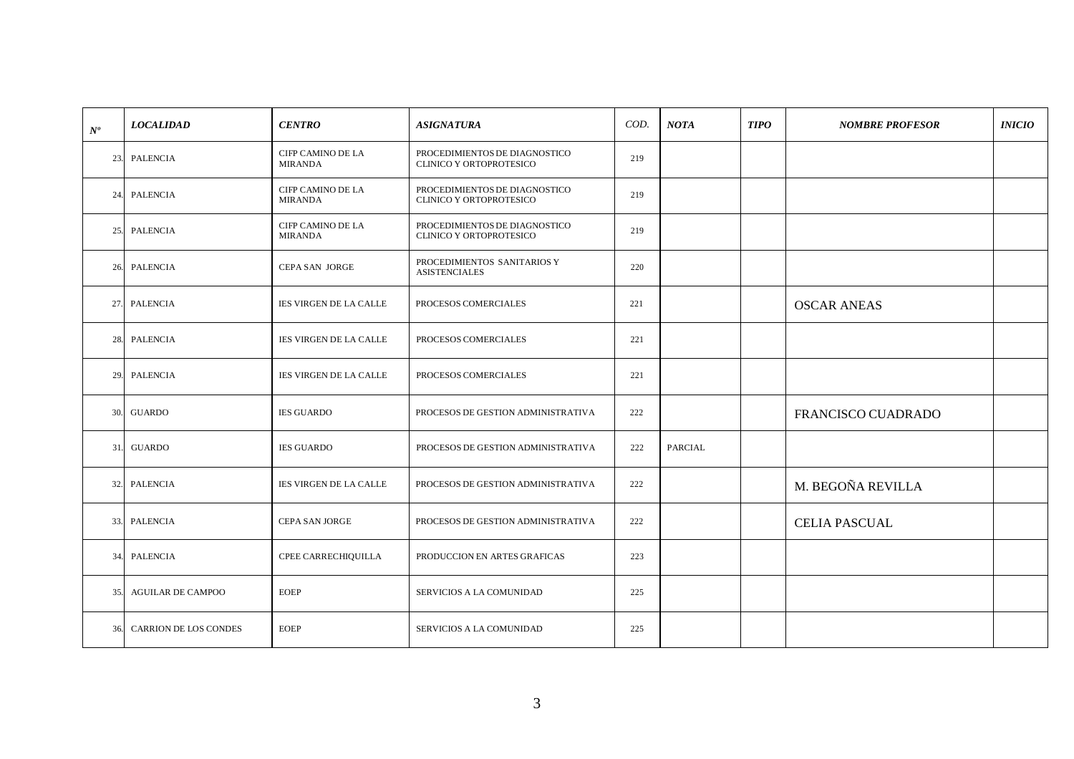| $N^o$ | <b>LOCALIDAD</b>             | <b>CENTRO</b>                              | <b>ASIGNATURA</b>                                               | COD. | <b>NOTA</b> | <b>TIPO</b> | <b>NOMBRE PROFESOR</b> | <i><b>INICIO</b></i> |
|-------|------------------------------|--------------------------------------------|-----------------------------------------------------------------|------|-------------|-------------|------------------------|----------------------|
| 23.   | PALENCIA                     | CIFP CAMINO DE LA<br><b>MIRANDA</b>        | PROCEDIMIENTOS DE DIAGNOSTICO<br>CLINICO Y ORTOPROTESICO        | 219  |             |             |                        |                      |
| 24.   | PALENCIA                     | <b>CIFP CAMINO DE LA</b><br><b>MIRANDA</b> | PROCEDIMIENTOS DE DIAGNOSTICO<br>CLINICO Y ORTOPROTESICO        | 219  |             |             |                        |                      |
| 25.   | PALENCIA                     | <b>CIFP CAMINO DE LA</b><br><b>MIRANDA</b> | PROCEDIMIENTOS DE DIAGNOSTICO<br><b>CLINICO Y ORTOPROTESICO</b> | 219  |             |             |                        |                      |
| 26.   | PALENCIA                     | <b>CEPA SAN JORGE</b>                      | PROCEDIMIENTOS SANITARIOS Y<br><b>ASISTENCIALES</b>             | 220  |             |             |                        |                      |
| 27.   | PALENCIA                     | IES VIRGEN DE LA CALLE                     | PROCESOS COMERCIALES                                            | 221  |             |             | <b>OSCAR ANEAS</b>     |                      |
| 28.   | PALENCIA                     | <b>IES VIRGEN DE LA CALLE</b>              | PROCESOS COMERCIALES                                            | 221  |             |             |                        |                      |
| 29.   | PALENCIA                     | <b>IES VIRGEN DE LA CALLE</b>              | PROCESOS COMERCIALES                                            | 221  |             |             |                        |                      |
| 30.   | GUARDO                       | <b>IES GUARDO</b>                          | PROCESOS DE GESTION ADMINISTRATIVA                              | 222  |             |             | FRANCISCO CUADRADO     |                      |
| 31.   | <b>GUARDO</b>                | <b>IES GUARDO</b>                          | PROCESOS DE GESTION ADMINISTRATIVA                              | 222  | PARCIAL     |             |                        |                      |
| 32.   | PALENCIA                     | IES VIRGEN DE LA CALLE                     | PROCESOS DE GESTION ADMINISTRATIVA                              | 222  |             |             | M. BEGOÑA REVILLA      |                      |
| 33.   | PALENCIA                     | <b>CEPA SAN JORGE</b>                      | PROCESOS DE GESTION ADMINISTRATIVA                              | 222  |             |             | <b>CELIA PASCUAL</b>   |                      |
| 34.   | PALENCIA                     | CPEE CARRECHIQUILLA                        | PRODUCCION EN ARTES GRAFICAS                                    | 223  |             |             |                        |                      |
| 35.   | <b>AGUILAR DE CAMPOO</b>     | <b>EOEP</b>                                | SERVICIOS A LA COMUNIDAD                                        | 225  |             |             |                        |                      |
| 36.   | <b>CARRION DE LOS CONDES</b> | <b>EOEP</b>                                | SERVICIOS A LA COMUNIDAD                                        | 225  |             |             |                        |                      |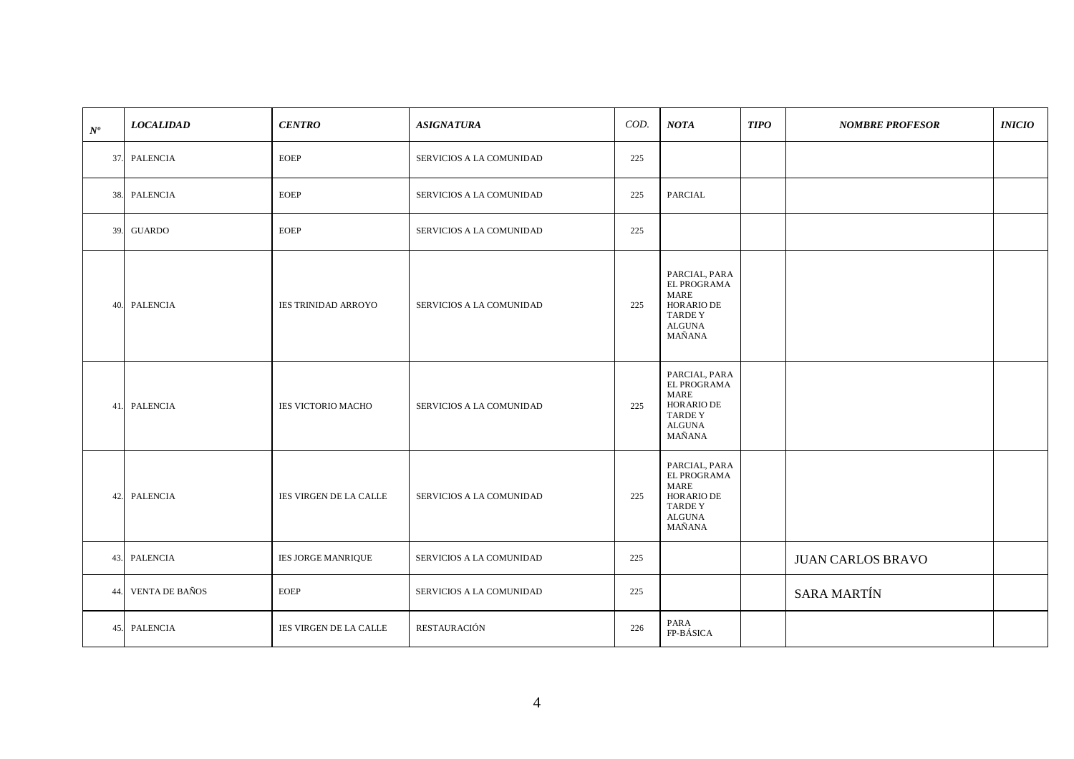| $N^o\,$ | <b>LOCALIDAD</b>      | <b>CENTRO</b>              | <b>ASIGNATURA</b>               | COD. | <b>NOTA</b>                                                                                    | <b>TIPO</b> | <b>NOMBRE PROFESOR</b>   | <b>INICIO</b> |
|---------|-----------------------|----------------------------|---------------------------------|------|------------------------------------------------------------------------------------------------|-------------|--------------------------|---------------|
|         | 37. PALENCIA          | <b>EOEP</b>                | SERVICIOS A LA COMUNIDAD        | 225  |                                                                                                |             |                          |               |
|         | 38. PALENCIA          | EOEP                       | SERVICIOS A LA COMUNIDAD        | 225  | PARCIAL                                                                                        |             |                          |               |
| 39.     | <b>GUARDO</b>         | <b>EOEP</b>                | SERVICIOS A LA COMUNIDAD        | 225  |                                                                                                |             |                          |               |
| 40.     | <b>PALENCIA</b>       | <b>IES TRINIDAD ARROYO</b> | <b>SERVICIOS A LA COMUNIDAD</b> | 225  | PARCIAL, PARA<br>EL PROGRAMA<br>MARE<br>HORARIO DE<br><b>TARDEY</b><br><b>ALGUNA</b><br>MAÑANA |             |                          |               |
|         | 41. PALENCIA          | <b>IES VICTORIO MACHO</b>  | SERVICIOS A LA COMUNIDAD        | 225  | PARCIAL, PARA<br>EL PROGRAMA<br>MARE<br>HORARIO DE<br><b>TARDEY</b><br><b>ALGUNA</b><br>MAÑANA |             |                          |               |
| 42.     | PALENCIA              | IES VIRGEN DE LA CALLE     | SERVICIOS A LA COMUNIDAD        | 225  | PARCIAL, PARA<br>EL PROGRAMA<br>MARE<br>HORARIO DE<br><b>TARDEY</b><br>$\rm ALGUNA$<br>MAÑANA  |             |                          |               |
| 43.     | PALENCIA              | IES JORGE MANRIQUE         | SERVICIOS A LA COMUNIDAD        | 225  |                                                                                                |             | <b>JUAN CARLOS BRAVO</b> |               |
| 44.     | <b>VENTA DE BAÑOS</b> | <b>EOEP</b>                | SERVICIOS A LA COMUNIDAD        | 225  |                                                                                                |             | <b>SARA MARTÍN</b>       |               |
| 45.     | <b>PALENCIA</b>       | IES VIRGEN DE LA CALLE     | RESTAURACIÓN                    | 226  | PARA<br>FP-BÁSICA                                                                              |             |                          |               |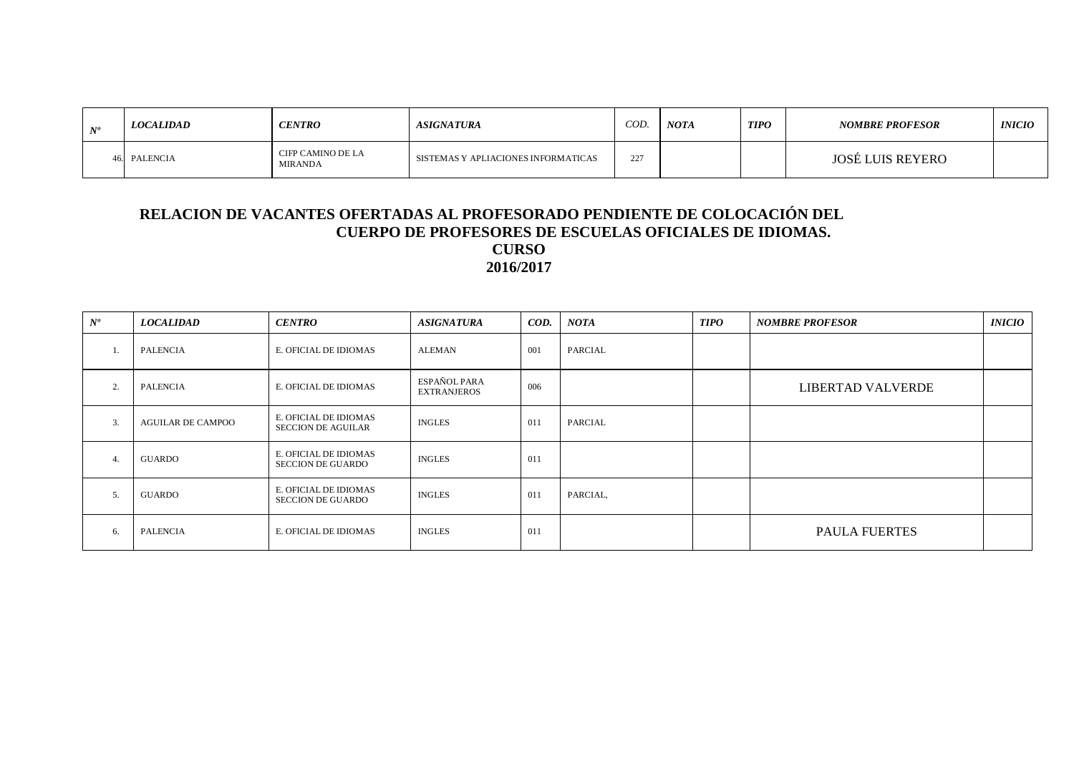| <b>ATO</b> | <i><b>LOCALIDAD</b></i> | <b>CENTRO</b>                | <i><b>ASIGNATURA</b></i>            | COD. | <b>NOTA</b> | <b>TIPO</b> | <b>NOMBRE PROFESOR</b>  | <i><b>INICIO</b></i> |
|------------|-------------------------|------------------------------|-------------------------------------|------|-------------|-------------|-------------------------|----------------------|
|            | PALENCIA                | CIFP CAMINO DE LA<br>MIRANDA | SISTEMAS Y APLIACIONES INFORMATICAS | 227  |             |             | <b>JOSÉ LUIS REYERO</b> |                      |

#### **RELACION DE VACANTES OFERTADAS AL PROFESORADO PENDIENTE DE COLOCACIÓN DEL CUERPO DE PROFESORES DE ESCUELAS OFICIALES DE IDIOMAS. CURSO 2016/2017**

| $N^o$            | <b>LOCALIDAD</b>         | <b>CENTRO</b>                                      | <b>ASIGNATURA</b>                  | COD. | <b>NOTA</b> | <b>TIPO</b> | <b>NOMBRE PROFESOR</b> | <i>INICIO</i> |
|------------------|--------------------------|----------------------------------------------------|------------------------------------|------|-------------|-------------|------------------------|---------------|
| -1.              | <b>PALENCIA</b>          | E. OFICIAL DE IDIOMAS                              | <b>ALEMAN</b>                      | 001  | PARCIAL     |             |                        |               |
| 2.               | <b>PALENCIA</b>          | E. OFICIAL DE IDIOMAS                              | ESPAÑOL PARA<br><b>EXTRANJEROS</b> | 006  |             |             | LIBERTAD VALVERDE      |               |
| $\overline{3}$ . | <b>AGUILAR DE CAMPOO</b> | E. OFICIAL DE IDIOMAS<br><b>SECCION DE AGUILAR</b> | <b>INGLES</b>                      | 011  | PARCIAL     |             |                        |               |
| 4.               | GUARDO                   | E. OFICIAL DE IDIOMAS<br><b>SECCION DE GUARDO</b>  | <b>INGLES</b>                      | 011  |             |             |                        |               |
| 5.               | GUARDO                   | E. OFICIAL DE IDIOMAS<br><b>SECCION DE GUARDO</b>  | <b>INGLES</b>                      | 011  | PARCIAL,    |             |                        |               |
| 6.               | <b>PALENCIA</b>          | E. OFICIAL DE IDIOMAS                              | <b>INGLES</b>                      | 011  |             |             | <b>PAULA FUERTES</b>   |               |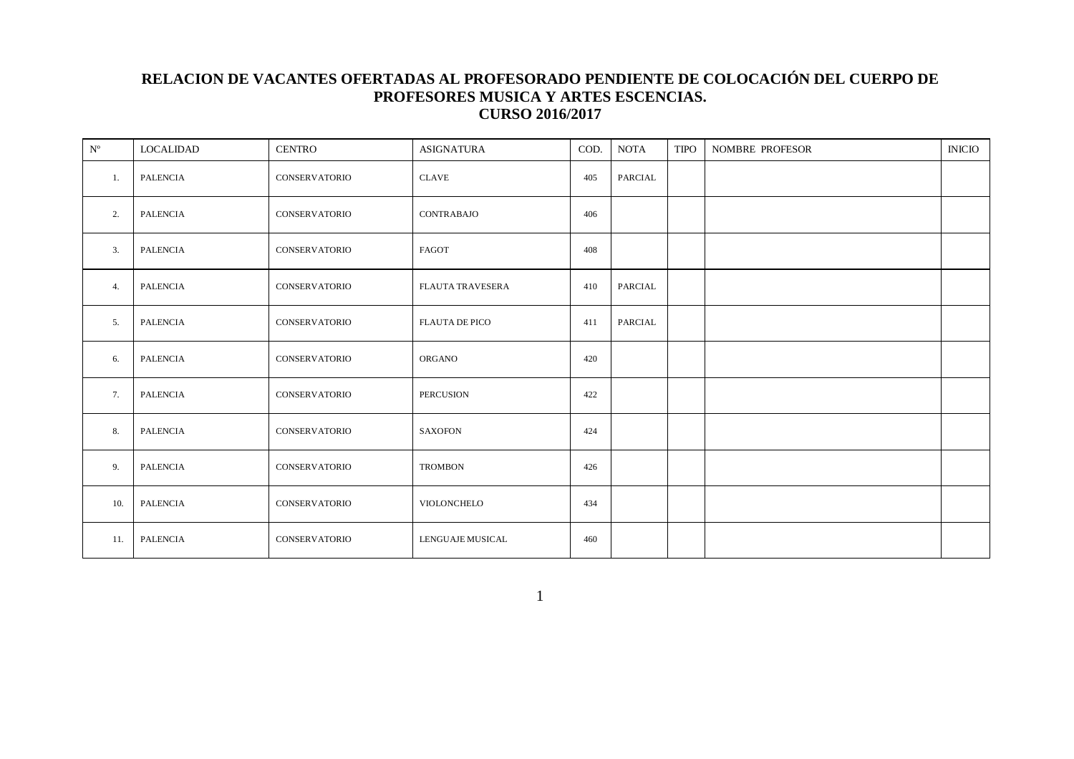### **RELACION DE VACANTES OFERTADAS AL PROFESORADO PENDIENTE DE COLOCACIÓN DEL CUERPO DE PROFESORES MUSICA Y ARTES ESCENCIAS. CURSO 2016/2017**

| $\mathbf{N}^{\text{o}}$ | <b>LOCALIDAD</b> | <b>CENTRO</b>        | <b>ASIGNATURA</b>       | COD. | <b>NOTA</b>    | <b>TIPO</b> | <b>NOMBRE PROFESOR</b> | <b>INICIO</b> |
|-------------------------|------------------|----------------------|-------------------------|------|----------------|-------------|------------------------|---------------|
| 1.                      | <b>PALENCIA</b>  | <b>CONSERVATORIO</b> | <b>CLAVE</b>            | 405  | PARCIAL        |             |                        |               |
| 2.                      | <b>PALENCIA</b>  | <b>CONSERVATORIO</b> | CONTRABAJO              | 406  |                |             |                        |               |
| 3.                      | <b>PALENCIA</b>  | <b>CONSERVATORIO</b> | FAGOT                   | 408  |                |             |                        |               |
| 4.                      | <b>PALENCIA</b>  | <b>CONSERVATORIO</b> | <b>FLAUTA TRAVESERA</b> | 410  | <b>PARCIAL</b> |             |                        |               |
| 5.                      | <b>PALENCIA</b>  | <b>CONSERVATORIO</b> | <b>FLAUTA DE PICO</b>   | 411  | PARCIAL        |             |                        |               |
| 6.                      | <b>PALENCIA</b>  | <b>CONSERVATORIO</b> | <b>ORGANO</b>           | 420  |                |             |                        |               |
| 7.                      | <b>PALENCIA</b>  | <b>CONSERVATORIO</b> | PERCUSION               | 422  |                |             |                        |               |
| 8.                      | <b>PALENCIA</b>  | <b>CONSERVATORIO</b> | <b>SAXOFON</b>          | 424  |                |             |                        |               |
| 9.                      | <b>PALENCIA</b>  | <b>CONSERVATORIO</b> | <b>TROMBON</b>          | 426  |                |             |                        |               |
| 10.                     | <b>PALENCIA</b>  | <b>CONSERVATORIO</b> | VIOLONCHELO             | 434  |                |             |                        |               |
| 11.                     | <b>PALENCIA</b>  | <b>CONSERVATORIO</b> | LENGUAJE MUSICAL        | 460  |                |             |                        |               |

1